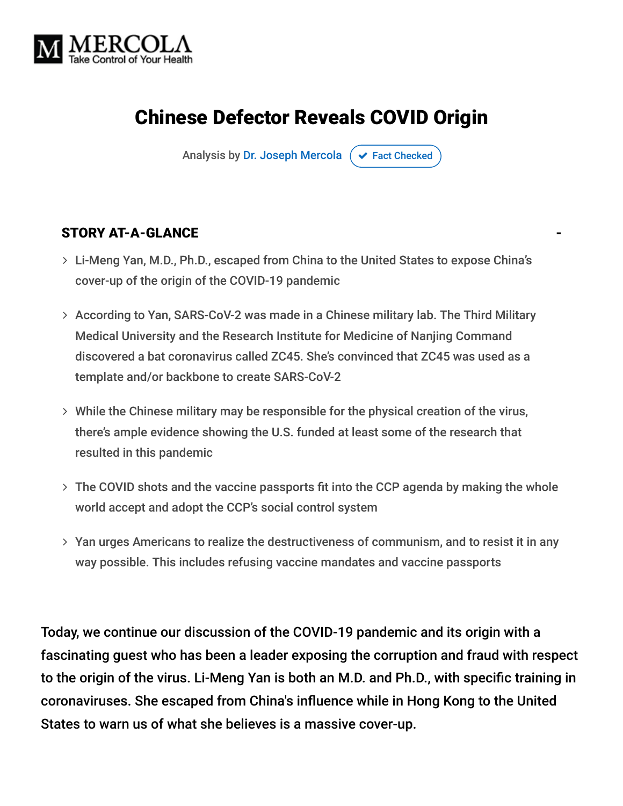

# Chinese Defector Reveals COVID Origin

Analysis by [Dr. Joseph Mercola](https://www.mercola.com/forms/background.htm)  $\sigma$  [Fact Checked](javascript:void(0))

#### STORY AT-A-GLANCE

- Li-Meng Yan, M.D., Ph.D., escaped from China to the United States to expose China's cover-up of the origin of the COVID-19 pandemic
- According to Yan, SARS-CoV-2 was made in a Chinese military lab. The Third Military Medical University and the Research Institute for Medicine of Nanjing Command discovered a bat coronavirus called ZC45. She's convinced that ZC45 was used as a template and/or backbone to create SARS-CoV-2
- While the Chinese military may be responsible for the physical creation of the virus, there's ample evidence showing the U.S. funded at least some of the research that resulted in this pandemic
- The COVID shots and the vaccine passports fit into the CCP agenda by making the whole world accept and adopt the CCP's social control system
- $>$  Yan urges Americans to realize the destructiveness of communism, and to resist it in any way possible. This includes refusing vaccine mandates and vaccine passports

Today, we continue our discussion of the COVID-19 pandemic and its origin with a fascinating guest who has been a leader exposing the corruption and fraud with respect to the origin of the virus. Li-Meng Yan is both an M.D. and Ph.D., with specific training in coronaviruses. She escaped from China's influence while in Hong Kong to the United States to warn us of what she believes is a massive cover-up.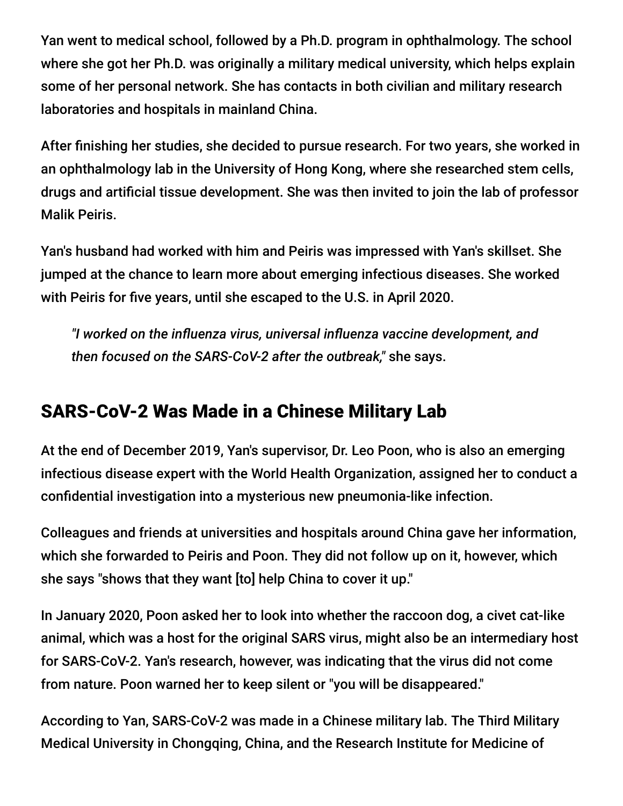Yan went to medical school, followed by a Ph.D. program in ophthalmology. The school where she got her Ph.D. was originally a military medical university, which helps explain some of her personal network. She has contacts in both civilian and military research laboratories and hospitals in mainland China.

After finishing her studies, she decided to pursue research. For two years, she worked in an ophthalmology lab in the University of Hong Kong, where she researched stem cells, drugs and artificial tissue development. She was then invited to join the lab of professor Malik Peiris.

Yan's husband had worked with him and Peiris was impressed with Yan's skillset. She jumped at the chance to learn more about emerging infectious diseases. She worked with Peiris for five years, until she escaped to the U.S. in April 2020.

*"I worked on the influenza virus, universal influenza vaccine development, and then focused on the SARS-CoV-2 after the outbreak,"* she says.

## SARS-CoV-2 Was Made in a Chinese Military Lab

At the end of December 2019, Yan's supervisor, Dr. Leo Poon, who is also an emerging infectious disease expert with the World Health Organization, assigned her to conduct a confidential investigation into a mysterious new pneumonia-like infection.

Colleagues and friends at universities and hospitals around China gave her information, which she forwarded to Peiris and Poon. They did not follow up on it, however, which she says "shows that they want [to] help China to cover it up."

In January 2020, Poon asked her to look into whether the raccoon dog, a civet cat-like animal, which was a host for the original SARS virus, might also be an intermediary host for SARS-CoV-2. Yan's research, however, was indicating that the virus did not come from nature. Poon warned her to keep silent or "you will be disappeared."

According to Yan, SARS-CoV-2 was made in a Chinese military lab. The Third Military Medical University in Chongqing, China, and the Research Institute for Medicine of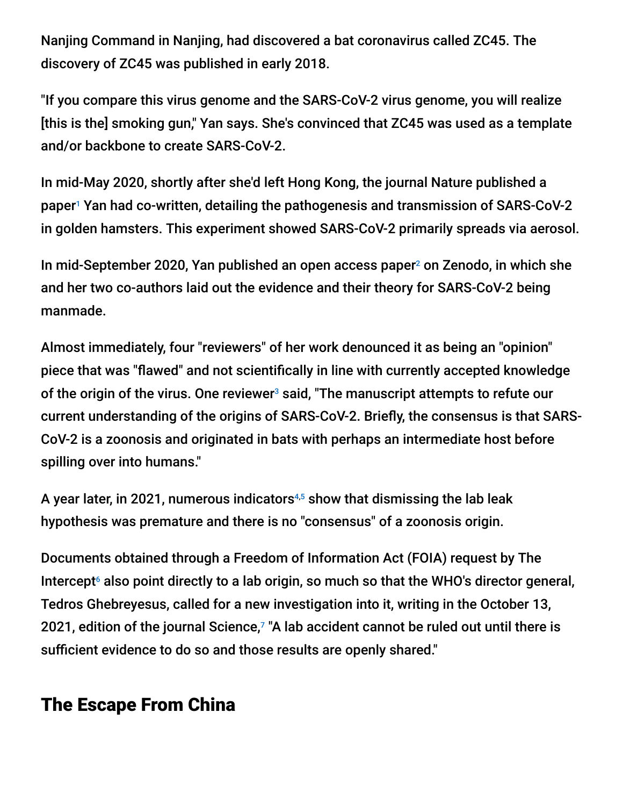Nanjing Command in Nanjing, had discovered a bat coronavirus called ZC45. The discovery of ZC45 was published in early 2018.

"If you compare this virus genome and the SARS-CoV-2 virus genome, you will realize [this is the] smoking gun," Yan says. She's convinced that ZC45 was used as a template and/or backbone to create SARS-CoV-2.

In mid-May 2020, shortly after she'd left Hong Kong, the journal Nature published a paper<sup>1</sup> Yan had co-written, detailing the pathogenesis and transmission of SARS-CoV-2 in golden hamsters. This experiment showed SARS-CoV-2 primarily spreads via aerosol.

In mid-September 2020, Yan published an open access paper $2$  on Zenodo, in which she and her two co-authors laid out the evidence and their theory for SARS-CoV-2 being manmade.

Almost immediately, four "reviewers" of her work denounced it as being an "opinion" piece that was "flawed" and not scientifically in line with currently accepted knowledge of the origin of the virus. One reviewer $^{\rm 3}$  said, "The manuscript attempts to refute our current understanding of the origins of SARS-CoV-2. Briefly, the consensus is that SARS-CoV-2 is a zoonosis and originated in bats with perhaps an intermediate host before spilling over into humans."

A year later, in 2021, numerous indicators $4,5$  show that dismissing the lab leak hypothesis was premature and there is no "consensus" of a zoonosis origin.

Documents obtained through a Freedom of Information Act (FOIA) request by The Intercept $\epsilon$  also point directly to a lab origin, so much so that the WHO's director general, Tedros Ghebreyesus, called for a new investigation into it, writing in the October 13, 2021, edition of the journal Science, $7$  "A lab accident cannot be ruled out until there is sufficient evidence to do so and those results are openly shared."

## The Escape From China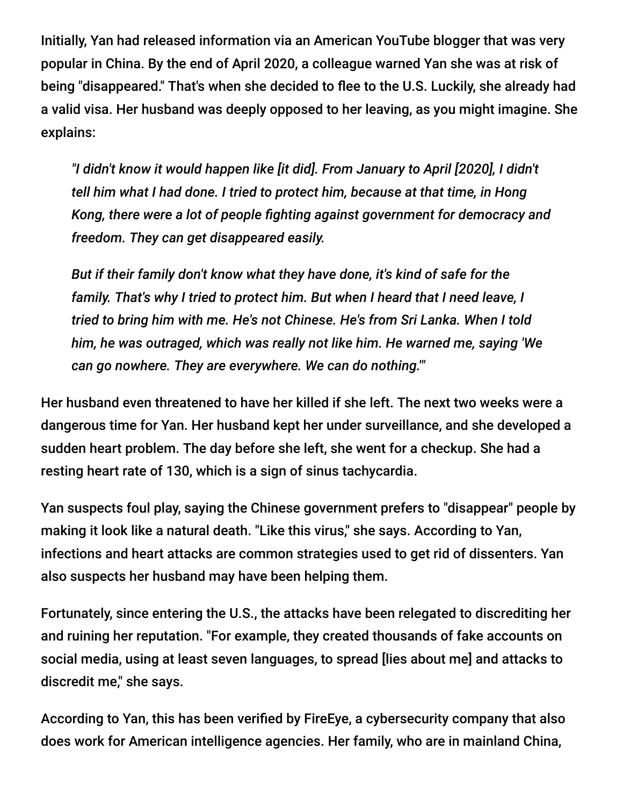Initially, Yan had released information via an American YouTube blogger that was very popular in China. By the end of April 2020, a colleague warned Yan she was at risk of being "disappeared." That's when she decided to flee to the U.S. Luckily, she already had a valid visa. Her husband was deeply opposed to her leaving, as you might imagine. She explains:

*"I didn't know it would happen like [it did]. From January to April [2020], I didn't tell him what I had done. I tried to protect him, because at that time, in Hong Kong, there were a lot of people fighting against government for democracy and freedom. They can get disappeared easily.*

*But if their family don't know what they have done, it's kind of safe for the family. That's why I tried to protect him. But when I heard that I need leave, I tried to bring him with me. He's not Chinese. He's from Sri Lanka. When I told him, he was outraged, which was really not like him. He warned me, saying 'We can go nowhere. They are everywhere. We can do nothing.'"*

Her husband even threatened to have her killed if she left. The next two weeks were a dangerous time for Yan. Her husband kept her under surveillance, and she developed a sudden heart problem. The day before she left, she went for a checkup. She had a resting heart rate of 130, which is a sign of sinus tachycardia.

Yan suspects foul play, saying the Chinese government prefers to "disappear" people by making it look like a natural death. "Like this virus," she says. According to Yan, infections and heart attacks are common strategies used to get rid of dissenters. Yan also suspects her husband may have been helping them.

Fortunately, since entering the U.S., the attacks have been relegated to discrediting her and ruining her reputation. "For example, they created thousands of fake accounts on social media, using at least seven languages, to spread [lies about me] and attacks to discredit me," she says.

According to Yan, this has been verified by FireEye, a cybersecurity company that also does work for American intelligence agencies. Her family, who are in mainland China,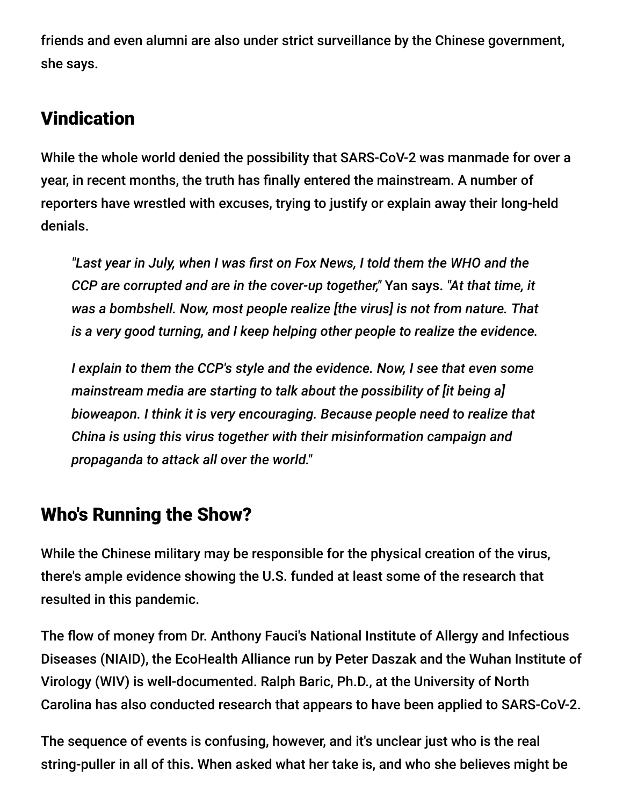friends and even alumni are also under strict surveillance by the Chinese government, she says.

## **Vindication**

While the whole world denied the possibility that SARS-CoV-2 was manmade for over a year, in recent months, the truth has finally entered the mainstream. A number of reporters have wrestled with excuses, trying to justify or explain away their long-held denials.

*"Last year in July, when I was first on Fox News, I told them the WHO and the CCP are corrupted and are in the cover-up together,"* Yan says. *"At that time, it was a bombshell. Now, most people realize [the virus] is not from nature. That is a very good turning, and I keep helping other people to realize the evidence.*

*I explain to them the CCP's style and the evidence. Now, I see that even some mainstream media are starting to talk about the possibility of [it being a] bioweapon. I think it is very encouraging. Because people need to realize that China is using this virus together with their misinformation campaign and propaganda to attack all over the world."*

## Who's Running the Show?

While the Chinese military may be responsible for the physical creation of the virus, there's ample evidence showing the U.S. funded at least some of the research that resulted in this pandemic.

The flow of money from Dr. Anthony Fauci's National Institute of Allergy and Infectious Diseases (NIAID), the EcoHealth Alliance run by Peter Daszak and the Wuhan Institute of Virology (WIV) is well-documented. Ralph Baric, Ph.D., at the University of North Carolina has also conducted research that appears to have been applied to SARS-CoV-2.

The sequence of events is confusing, however, and it's unclear just who is the real string-puller in all of this. When asked what her take is, and who she believes might be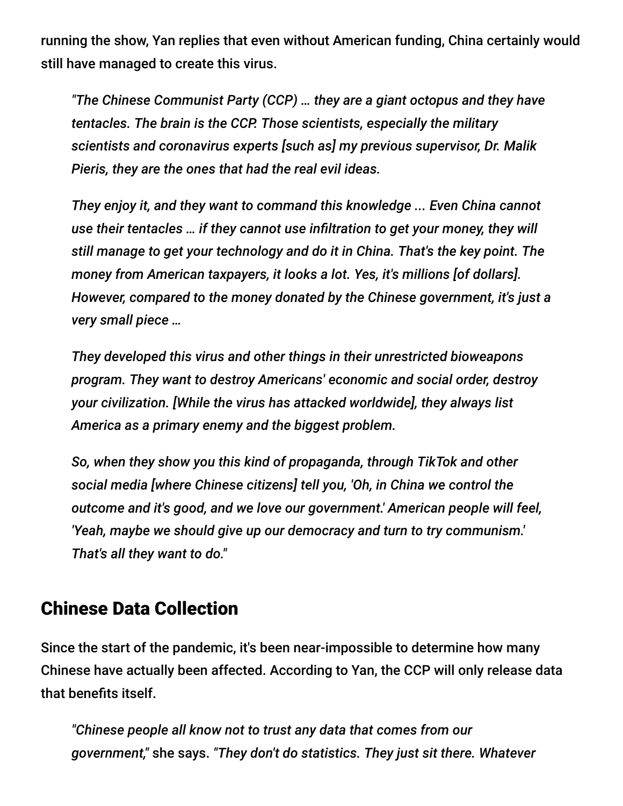running the show, Yan replies that even without American funding, China certainly would still have managed to create this virus.

*"The Chinese Communist Party (CCP) … they are a giant octopus and they have tentacles. The brain is the CCP. Those scientists, especially the military scientists and coronavirus experts [such as] my previous supervisor, Dr. Malik Pieris, they are the ones that had the real evil ideas.*

*They enjoy it, and they want to command this knowledge ... Even China cannot use their tentacles … if they cannot use infiltration to get your money, they will still manage to get your technology and do it in China. That's the key point. The money from American taxpayers, it looks a lot. Yes, it's millions [of dollars]. However, compared to the money donated by the Chinese government, it's just a very small piece …*

*They developed this virus and other things in their unrestricted bioweapons program. They want to destroy Americans' economic and social order, destroy your civilization. [While the virus has attacked worldwide], they always list America as a primary enemy and the biggest problem.*

*So, when they show you this kind of propaganda, through TikTok and other social media [where Chinese citizens] tell you, 'Oh, in China we control the outcome and it's good, and we love our government.' American people will feel, 'Yeah, maybe we should give up our democracy and turn to try communism.' That's all they want to do."*

#### Chinese Data Collection

Since the start of the pandemic, it's been near-impossible to determine how many Chinese have actually been affected. According to Yan, the CCP will only release data that benefits itself.

*"Chinese people all know not to trust any data that comes from our government,"* she says. *"They don't do statistics. They just sit there. Whatever*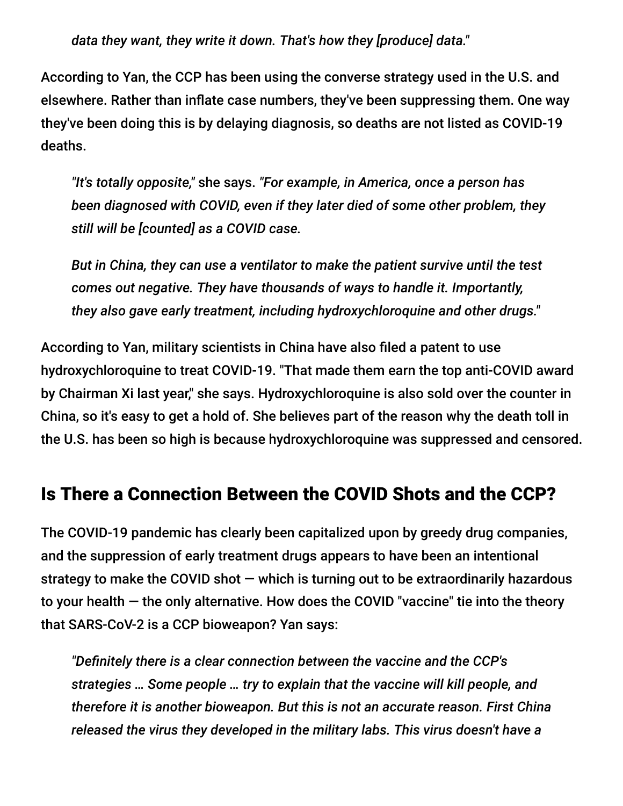*data they want, they write it down. That's how they [produce] data."*

According to Yan, the CCP has been using the converse strategy used in the U.S. and elsewhere. Rather than inflate case numbers, they've been suppressing them. One way they've been doing this is by delaying diagnosis, so deaths are not listed as COVID-19 deaths.

*"It's totally opposite,"* she says. *"For example, in America, once a person has been diagnosed with COVID, even if they later died of some other problem, they still will be [counted] as a COVID case.*

*But in China, they can use a ventilator to make the patient survive until the test comes out negative. They have thousands of ways to handle it. Importantly, they also gave early treatment, including hydroxychloroquine and other drugs."*

According to Yan, military scientists in China have also filed a patent to use hydroxychloroquine to treat COVID-19. "That made them earn the top anti-COVID award by Chairman Xi last year," she says. Hydroxychloroquine is also sold over the counter in China, so it's easy to get a hold of. She believes part of the reason why the death toll in the U.S. has been so high is because hydroxychloroquine was suppressed and censored.

#### Is There a Connection Between the COVID Shots and the CCP?

The COVID-19 pandemic has clearly been capitalized upon by greedy drug companies, and the suppression of early treatment drugs appears to have been an intentional strategy to make the COVID shot  $-$  which is turning out to be extraordinarily hazardous to your health — the only alternative. How does the COVID "vaccine" tie into the theory that SARS-CoV-2 is a CCP bioweapon? Yan says:

*"Definitely there is a clear connection between the vaccine and the CCP's strategies … Some people … try to explain that the vaccine will kill people, and therefore it is another bioweapon. But this is not an accurate reason. First China released the virus they developed in the military labs. This virus doesn't have a*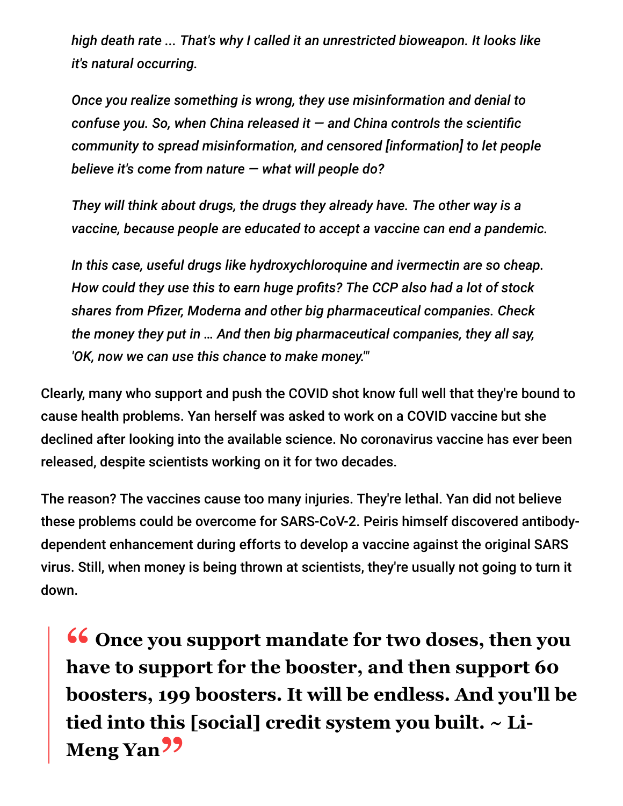*high death rate ... That's why I called it an unrestricted bioweapon. It looks like it's natural occurring.*

*Once you realize something is wrong, they use misinformation and denial to confuse you. So, when China released it — and China controls the scientific community to spread misinformation, and censored [information] to let people believe it's come from nature — what will people do?*

*They will think about drugs, the drugs they already have. The other way is a vaccine, because people are educated to accept a vaccine can end a pandemic.*

*In this case, useful drugs like hydroxychloroquine and ivermectin are so cheap. How could they use this to earn huge profits? The CCP also had a lot of stock shares from Pfizer, Moderna and other big pharmaceutical companies. Check the money they put in … And then big pharmaceutical companies, they all say, 'OK, now we can use this chance to make money.'"*

Clearly, many who support and push the COVID shot know full well that they're bound to cause health problems. Yan herself was asked to work on a COVID vaccine but she declined after looking into the available science. No coronavirus vaccine has ever been released, despite scientists working on it for two decades.

The reason? The vaccines cause too many injuries. They're lethal. Yan did not believe these problems could be overcome for SARS-CoV-2. Peiris himself discovered antibodydependent enhancement during efforts to develop a vaccine against the original SARS virus. Still, when money is being thrown at scientists, they're usually not going to turn it down.

**16 Once you support mandate for two doses, then you<br>have to support for the booster, and then support 60 have to support for the booster, and then support 60 boosters, 199 boosters. It will be endless. And you'll be tied into this [social] credit system you built. ~ Li-Meng Yan"**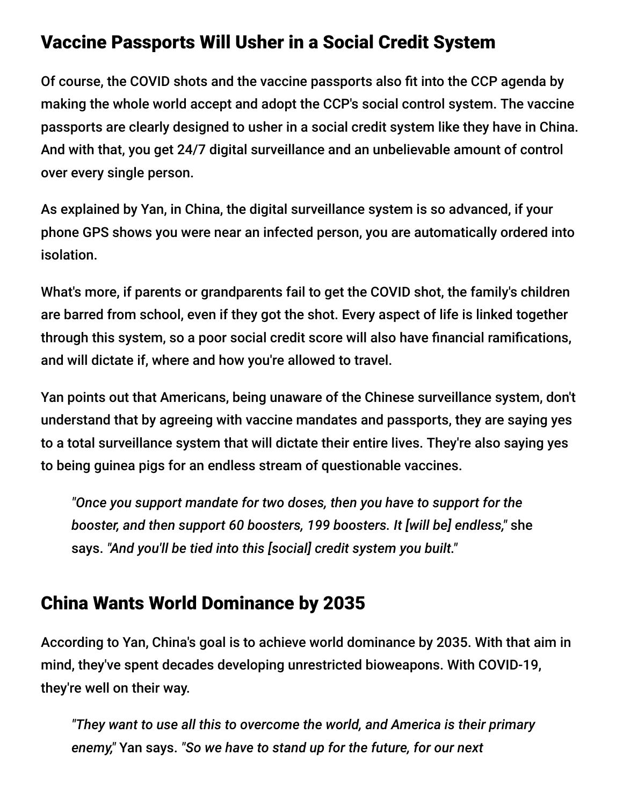#### Vaccine Passports Will Usher in a Social Credit System

Of course, the COVID shots and the vaccine passports also fit into the CCP agenda by making the whole world accept and adopt the CCP's social control system. The vaccine passports are clearly designed to usher in a social credit system like they have in China. And with that, you get 24/7 digital surveillance and an unbelievable amount of control over every single person.

As explained by Yan, in China, the digital surveillance system is so advanced, if your phone GPS shows you were near an infected person, you are automatically ordered into isolation.

What's more, if parents or grandparents fail to get the COVID shot, the family's children are barred from school, even if they got the shot. Every aspect of life is linked together through this system, so a poor social credit score will also have financial ramifications, and will dictate if, where and how you're allowed to travel.

Yan points out that Americans, being unaware of the Chinese surveillance system, don't understand that by agreeing with vaccine mandates and passports, they are saying yes to a total surveillance system that will dictate their entire lives. They're also saying yes to being guinea pigs for an endless stream of questionable vaccines.

*"Once you support mandate for two doses, then you have to support for the booster, and then support 60 boosters, 199 boosters. It [will be] endless,"* she says. *"And you'll be tied into this [social] credit system you built."*

## China Wants World Dominance by 2035

According to Yan, China's goal is to achieve world dominance by 2035. With that aim in mind, they've spent decades developing unrestricted bioweapons. With COVID-19, they're well on their way.

*"They want to use all this to overcome the world, and America is their primary enemy,"* Yan says. *"So we have to stand up for the future, for our next*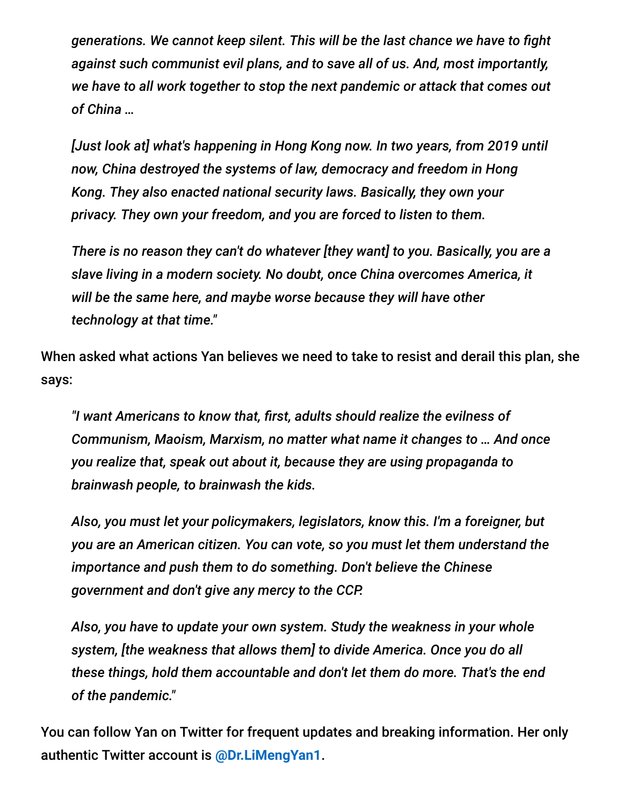*generations. We cannot keep silent. This will be the last chance we have to fight against such communist evil plans, and to save all of us. And, most importantly, we have to all work together to stop the next pandemic or attack that comes out of China …*

*[Just look at] what's happening in Hong Kong now. In two years, from 2019 until now, China destroyed the systems of law, democracy and freedom in Hong Kong. They also enacted national security laws. Basically, they own your privacy. They own your freedom, and you are forced to listen to them.*

*There is no reason they can't do whatever [they want] to you. Basically, you are a slave living in a modern society. No doubt, once China overcomes America, it will be the same here, and maybe worse because they will have other technology at that time."*

When asked what actions Yan believes we need to take to resist and derail this plan, she says:

*"I want Americans to know that, first, adults should realize the evilness of Communism, Maoism, Marxism, no matter what name it changes to … And once you realize that, speak out about it, because they are using propaganda to brainwash people, to brainwash the kids.*

*Also, you must let your policymakers, legislators, know this. I'm a foreigner, but you are an American citizen. You can vote, so you must let them understand the importance and push them to do something. Don't believe the Chinese government and don't give any mercy to the CCP.*

*Also, you have to update your own system. Study the weakness in your whole system, [the weakness that allows them] to divide America. Once you do all these things, hold them accountable and don't let them do more. That's the end of the pandemic."*

You can follow Yan on Twitter for frequent updates and breaking information. Her only authentic Twitter account is **[@Dr.LiMengYan1](https://twitter.com/DrLiMengYAN1/status/1419761931926315008?s=20)**.